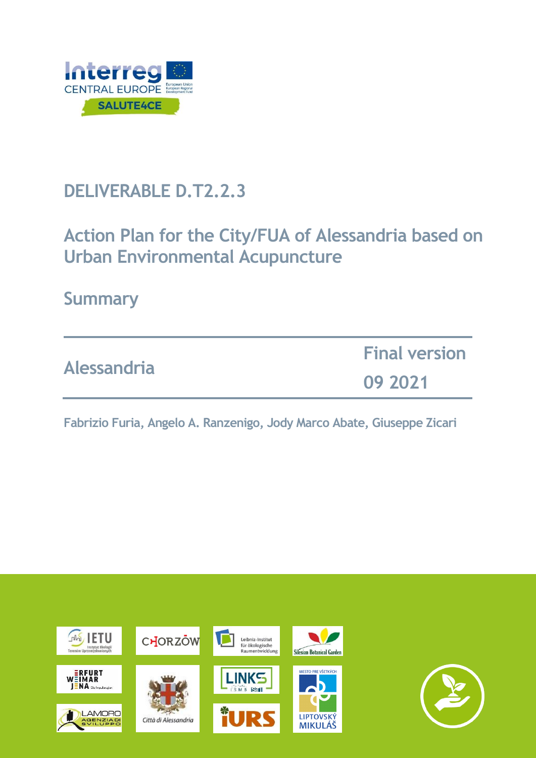

# **DELIVERABLE D.T2.2.3**

# **Action Plan for the City/FUA of Alessandria based on Urban Environmental Acupuncture**

**Summary**

| <b>Alessandria</b> | <b>Final version</b> |
|--------------------|----------------------|
|                    | 09 2021              |

**Fabrizio Furia, Angelo A. Ranzenigo, Jody Marco Abate, Giuseppe Zicari**

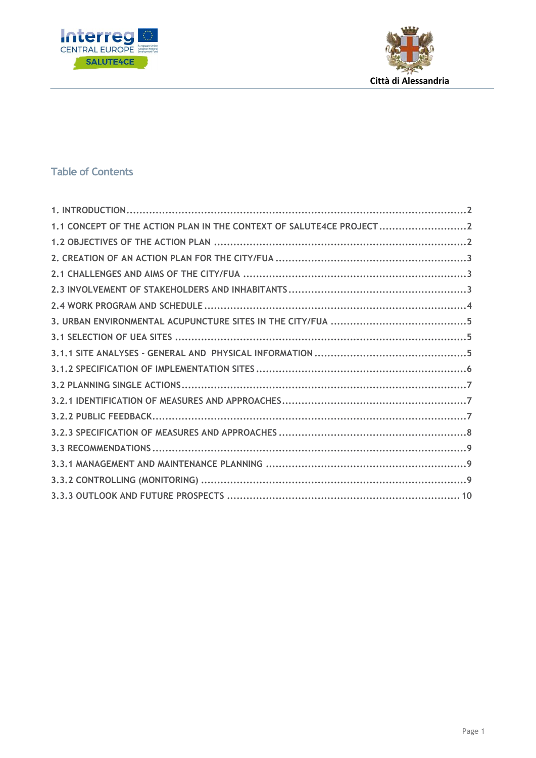



## **Table of Contents**

| 1.1 CONCEPT OF THE ACTION PLAN IN THE CONTEXT OF SALUTE4CE PROJECT2 |  |
|---------------------------------------------------------------------|--|
|                                                                     |  |
|                                                                     |  |
|                                                                     |  |
|                                                                     |  |
|                                                                     |  |
|                                                                     |  |
|                                                                     |  |
|                                                                     |  |
|                                                                     |  |
|                                                                     |  |
|                                                                     |  |
|                                                                     |  |
|                                                                     |  |
|                                                                     |  |
|                                                                     |  |
|                                                                     |  |
|                                                                     |  |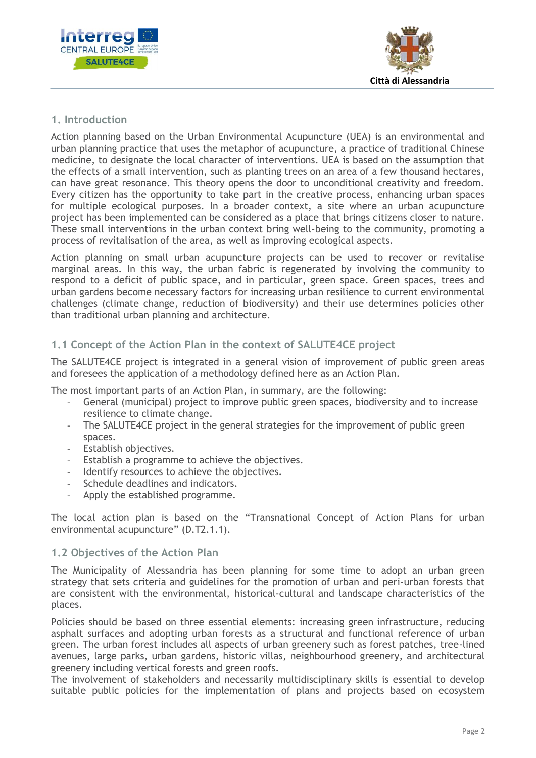



## <span id="page-2-0"></span>**1. Introduction**

Action planning based on the Urban Environmental Acupuncture (UEA) is an environmental and urban planning practice that uses the metaphor of acupuncture, a practice of traditional Chinese medicine, to designate the local character of interventions. UEA is based on the assumption that the effects of a small intervention, such as planting trees on an area of a few thousand hectares, can have great resonance. This theory opens the door to unconditional creativity and freedom. Every citizen has the opportunity to take part in the creative process, enhancing urban spaces for multiple ecological purposes. In a broader context, a site where an urban acupuncture project has been implemented can be considered as a place that brings citizens closer to nature. These small interventions in the urban context bring well-being to the community, promoting a process of revitalisation of the area, as well as improving ecological aspects.

Action planning on small urban acupuncture projects can be used to recover or revitalise marginal areas. In this way, the urban fabric is regenerated by involving the community to respond to a deficit of public space, and in particular, green space. Green spaces, trees and urban gardens become necessary factors for increasing urban resilience to current environmental challenges (climate change, reduction of biodiversity) and their use determines policies other than traditional urban planning and architecture.

## <span id="page-2-1"></span>**1.1 Concept of the Action Plan in the context of SALUTE4CE project**

The SALUTE4CE project is integrated in a general vision of improvement of public green areas and foresees the application of a methodology defined here as an Action Plan.

The most important parts of an Action Plan, in summary, are the following:

- General (municipal) project to improve public green spaces, biodiversity and to increase resilience to climate change.
- The SALUTE4CE project in the general strategies for the improvement of public green spaces.
- Establish objectives.
- Establish a programme to achieve the objectives.
- Identify resources to achieve the objectives.
- Schedule deadlines and indicators.
- Apply the established programme.

The local action plan is based on the "Transnational Concept of Action Plans for urban environmental acupuncture" (D.T2.1.1).

#### <span id="page-2-2"></span>**1.2 Objectives of the Action Plan**

The Municipality of Alessandria has been planning for some time to adopt an urban green strategy that sets criteria and guidelines for the promotion of urban and peri-urban forests that are consistent with the environmental, historical-cultural and landscape characteristics of the places.

Policies should be based on three essential elements: increasing green infrastructure, reducing asphalt surfaces and adopting urban forests as a structural and functional reference of urban green. The urban forest includes all aspects of urban greenery such as forest patches, tree-lined avenues, large parks, urban gardens, historic villas, neighbourhood greenery, and architectural greenery including vertical forests and green roofs.

The involvement of stakeholders and necessarily multidisciplinary skills is essential to develop suitable public policies for the implementation of plans and projects based on ecosystem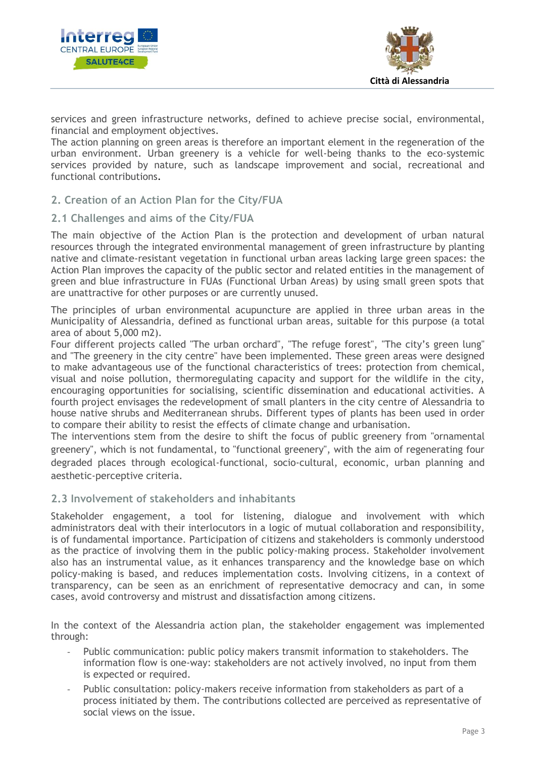



services and green infrastructure networks, defined to achieve precise social, environmental, financial and employment objectives.

The action planning on green areas is therefore an important element in the regeneration of the urban environment. Urban greenery is a vehicle for well-being thanks to the eco-systemic services provided by nature, such as landscape improvement and social, recreational and functional contributions.

### <span id="page-3-0"></span>**2. Creation of an Action Plan for the City/FUA**

#### <span id="page-3-1"></span>**2.1 Challenges and aims of the City/FUA**

The main objective of the Action Plan is the protection and development of urban natural resources through the integrated environmental management of green infrastructure by planting native and climate-resistant vegetation in functional urban areas lacking large green spaces: the Action Plan improves the capacity of the public sector and related entities in the management of green and blue infrastructure in FUAs (Functional Urban Areas) by using small green spots that are unattractive for other purposes or are currently unused.

The principles of urban environmental acupuncture are applied in three urban areas in the Municipality of Alessandria, defined as functional urban areas, suitable for this purpose (a total area of about 5,000 m2).

Four different projects called "The urban orchard", "The refuge forest", "The city's green lung" and "The greenery in the city centre" have been implemented. These green areas were designed to make advantageous use of the functional characteristics of trees: protection from chemical, visual and noise pollution, thermoregulating capacity and support for the wildlife in the city, encouraging opportunities for socialising, scientific dissemination and educational activities. A fourth project envisages the redevelopment of small planters in the city centre of Alessandria to house native shrubs and Mediterranean shrubs. Different types of plants has been used in order to compare their ability to resist the effects of climate change and urbanisation.

The interventions stem from the desire to shift the focus of public greenery from "ornamental greenery", which is not fundamental, to "functional greenery", with the aim of regenerating four degraded places through ecological-functional, socio-cultural, economic, urban planning and aesthetic-perceptive criteria.

#### <span id="page-3-2"></span>**2.3 Involvement of stakeholders and inhabitants**

Stakeholder engagement, a tool for listening, dialogue and involvement with which administrators deal with their interlocutors in a logic of mutual collaboration and responsibility, is of fundamental importance. Participation of citizens and stakeholders is commonly understood as the practice of involving them in the public policy-making process. Stakeholder involvement also has an instrumental value, as it enhances transparency and the knowledge base on which policy-making is based, and reduces implementation costs. Involving citizens, in a context of transparency, can be seen as an enrichment of representative democracy and can, in some cases, avoid controversy and mistrust and dissatisfaction among citizens.

In the context of the Alessandria action plan, the stakeholder engagement was implemented through:

- Public communication: public policy makers transmit information to stakeholders. The information flow is one-way: stakeholders are not actively involved, no input from them is expected or required.
- Public consultation: policy-makers receive information from stakeholders as part of a process initiated by them. The contributions collected are perceived as representative of social views on the issue.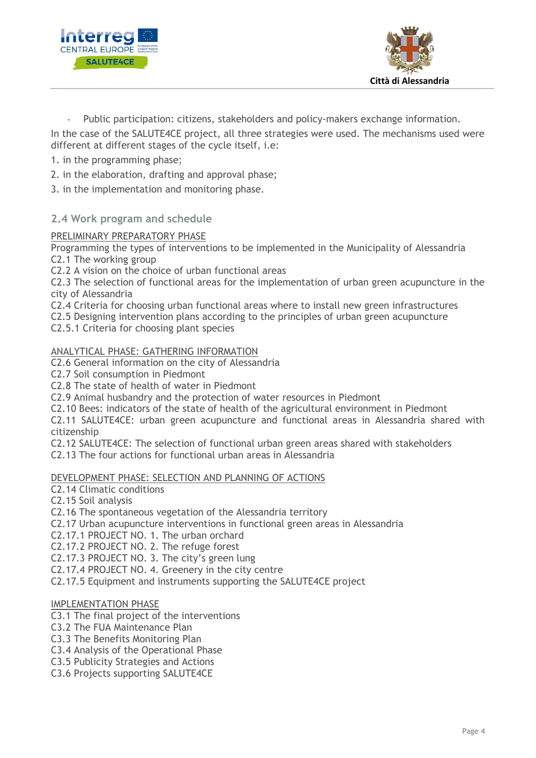



Public participation: citizens, stakeholders and policy-makers exchange information.

In the case of the SALUTE4CE project, all three strategies were used. The mechanisms used were different at different stages of the cycle itself, i.e:

- 1. in the programming phase;
- 2. in the elaboration, drafting and approval phase;
- 3. in the implementation and monitoring phase.
- <span id="page-4-0"></span>**2.4 Work program and schedule**

#### PRELIMINARY PREPARATORY PHASE

Programming the types of interventions to be implemented in the Municipality of Alessandria C2.1 The working group

C2.2 A vision on the choice of urban functional areas

C2.3 The selection of functional areas for the implementation of urban green acupuncture in the city of Alessandria

C2.4 Criteria for choosing urban functional areas where to install new green infrastructures

C2.5 Designing intervention plans according to the principles of urban green acupuncture

C2.5.1 Criteria for choosing plant species

#### ANALYTICAL PHASE: GATHERING INFORMATION

C2.6 General information on the city of Alessandria

C2.7 Soil consumption in Piedmont

C2.8 The state of health of water in Piedmont

C2.9 Animal husbandry and the protection of water resources in Piedmont

C2.10 Bees: indicators of the state of health of the agricultural environment in Piedmont

C2.11 SALUTE4CE: urban green acupuncture and functional areas in Alessandria shared with citizenship

C2.12 SALUTE4CE: The selection of functional urban green areas shared with stakeholders

C2.13 The four actions for functional urban areas in Alessandria

#### DEVELOPMENT PHASE: SELECTION AND PLANNING OF ACTIONS

C2.14 Climatic conditions

C2.15 Soil analysis

C2.16 The spontaneous vegetation of the Alessandria territory

C2.17 Urban acupuncture interventions in functional green areas in Alessandria

C2.17.1 PROJECT NO. 1. The urban orchard

C2.17.2 PROJECT NO. 2. The refuge forest

C2.17.3 PROJECT NO. 3. The city's green lung

C2.17.4 PROJECT NO. 4. Greenery in the city centre

C2.17.5 Equipment and instruments supporting the SALUTE4CE project

#### IMPLEMENTATION PHASE

C3.1 The final project of the interventions

C3.2 The FUA Maintenance Plan

C3.3 The Benefits Monitoring Plan

C3.4 Analysis of the Operational Phase

C3.5 Publicity Strategies and Actions

C3.6 Projects supporting SALUTE4CE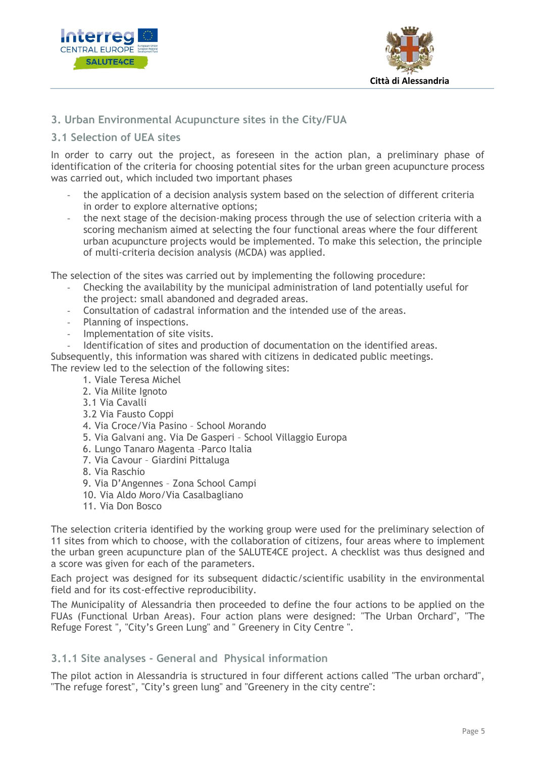



## <span id="page-5-0"></span>**3. Urban Environmental Acupuncture sites in the City/FUA**

#### <span id="page-5-1"></span>**3.1 Selection of UEA sites**

In order to carry out the project, as foreseen in the action plan, a preliminary phase of identification of the criteria for choosing potential sites for the urban green acupuncture process was carried out, which included two important phases

- the application of a decision analysis system based on the selection of different criteria in order to explore alternative options;
- the next stage of the decision-making process through the use of selection criteria with a scoring mechanism aimed at selecting the four functional areas where the four different urban acupuncture projects would be implemented. To make this selection, the principle of multi-criteria decision analysis (MCDA) was applied.

The selection of the sites was carried out by implementing the following procedure:

- Checking the availability by the municipal administration of land potentially useful for the project: small abandoned and degraded areas.
- Consultation of cadastral information and the intended use of the areas.
- Planning of inspections.
- Implementation of site visits.

Identification of sites and production of documentation on the identified areas. Subsequently, this information was shared with citizens in dedicated public meetings.

The review led to the selection of the following sites:

- 1. Viale Teresa Michel
- 2. Via Milite Ignoto
- 3.1 Via Cavalli
- 3.2 Via Fausto Coppi
- 4. Via Croce/Via Pasino School Morando
- 5. Via Galvani ang. Via De Gasperi School Villaggio Europa
- 6. Lungo Tanaro Magenta –Parco Italia
- 7. Via Cavour Giardini Pittaluga
- 8. Via Raschio
- 9. Via D'Angennes Zona School Campi
- 10. Via Aldo Moro/Via Casalbagliano
- 11. Via Don Bosco

The selection criteria identified by the working group were used for the preliminary selection of 11 sites from which to choose, with the collaboration of citizens, four areas where to implement the urban green acupuncture plan of the SALUTE4CE project. A checklist was thus designed and a score was given for each of the parameters.

Each project was designed for its subsequent didactic/scientific usability in the environmental field and for its cost-effective reproducibility.

The Municipality of Alessandria then proceeded to define the four actions to be applied on the FUAs (Functional Urban Areas). Four action plans were designed: "The Urban Orchard", "The Refuge Forest ", "City's Green Lung" and " Greenery in City Centre ".

#### <span id="page-5-2"></span>**3.1.1 Site analyses - General and Physical information**

The pilot action in Alessandria is structured in four different actions called "The urban orchard", "The refuge forest", "City's green lung" and "Greenery in the city centre":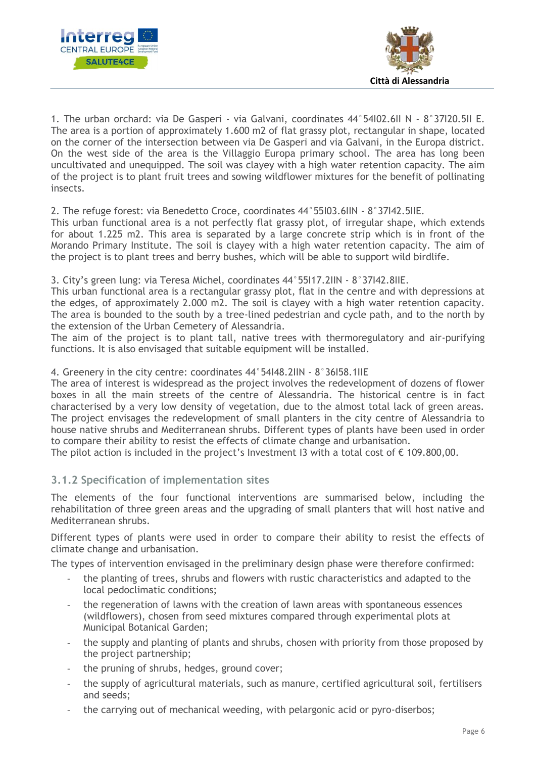



1. The urban orchard: via De Gasperi - via Galvani, coordinates 44°54I02.6II N - 8°37I20.5II E. The area is a portion of approximately 1.600 m2 of flat grassy plot, rectangular in shape, located on the corner of the intersection between via De Gasperi and via Galvani, in the Europa district. On the west side of the area is the Villaggio Europa primary school. The area has long been uncultivated and unequipped. The soil was clayey with a high water retention capacity. The aim of the project is to plant fruit trees and sowing wildflower mixtures for the benefit of pollinating insects.

2. The refuge forest: via Benedetto Croce, coordinates 44°55I03.6IIN - 8°37I42.5IIE.

This urban functional area is a not perfectly flat grassy plot, of irregular shape, which extends for about 1.225 m2. This area is separated by a large concrete strip which is in front of the Morando Primary Institute. The soil is clayey with a high water retention capacity. The aim of the project is to plant trees and berry bushes, which will be able to support wild birdlife.

3. City's green lung: via Teresa Michel, coordinates 44°55I17.2IIN - 8°37I42.8IIE.

This urban functional area is a rectangular grassy plot, flat in the centre and with depressions at the edges, of approximately 2.000 m2. The soil is clayey with a high water retention capacity. The area is bounded to the south by a tree-lined pedestrian and cycle path, and to the north by the extension of the Urban Cemetery of Alessandria.

The aim of the project is to plant tall, native trees with thermoregulatory and air-purifying functions. It is also envisaged that suitable equipment will be installed.

#### 4. Greenery in the city centre: coordinates 44°54I48.2IIN - 8°36I58.1IIE

The area of interest is widespread as the project involves the redevelopment of dozens of flower boxes in all the main streets of the centre of Alessandria. The historical centre is in fact characterised by a very low density of vegetation, due to the almost total lack of green areas. The project envisages the redevelopment of small planters in the city centre of Alessandria to house native shrubs and Mediterranean shrubs. Different types of plants have been used in order to compare their ability to resist the effects of climate change and urbanisation.

The pilot action is included in the project's Investment I3 with a total cost of  $\epsilon$  109.800,00.

#### <span id="page-6-0"></span>**3.1.2 Specification of implementation sites**

The elements of the four functional interventions are summarised below, including the rehabilitation of three green areas and the upgrading of small planters that will host native and Mediterranean shrubs.

Different types of plants were used in order to compare their ability to resist the effects of climate change and urbanisation.

The types of intervention envisaged in the preliminary design phase were therefore confirmed:

- the planting of trees, shrubs and flowers with rustic characteristics and adapted to the local pedoclimatic conditions;
- the regeneration of lawns with the creation of lawn areas with spontaneous essences (wildflowers), chosen from seed mixtures compared through experimental plots at Municipal Botanical Garden;
- the supply and planting of plants and shrubs, chosen with priority from those proposed by the project partnership;
- the pruning of shrubs, hedges, ground cover;
- the supply of agricultural materials, such as manure, certified agricultural soil, fertilisers and seeds;
- the carrying out of mechanical weeding, with pelargonic acid or pyro-diserbos;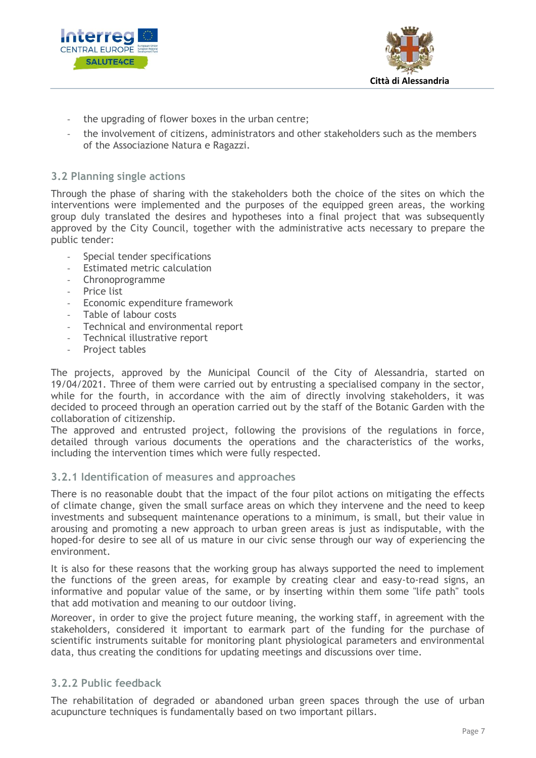



- the upgrading of flower boxes in the urban centre;
- the involvement of citizens, administrators and other stakeholders such as the members of the Associazione Natura e Ragazzi.

## <span id="page-7-0"></span>**3.2 Planning single actions**

Through the phase of sharing with the stakeholders both the choice of the sites on which the interventions were implemented and the purposes of the equipped green areas, the working group duly translated the desires and hypotheses into a final project that was subsequently approved by the City Council, together with the administrative acts necessary to prepare the public tender:

- Special tender specifications
- Estimated metric calculation
- Chronoprogramme
- Price list
- Economic expenditure framework
- Table of labour costs
- Technical and environmental report
- Technical illustrative report
- Project tables

The projects, approved by the Municipal Council of the City of Alessandria, started on 19/04/2021. Three of them were carried out by entrusting a specialised company in the sector, while for the fourth, in accordance with the aim of directly involving stakeholders, it was decided to proceed through an operation carried out by the staff of the Botanic Garden with the collaboration of citizenship.

The approved and entrusted project, following the provisions of the regulations in force, detailed through various documents the operations and the characteristics of the works, including the intervention times which were fully respected.

#### <span id="page-7-1"></span>**3.2.1 Identification of measures and approaches**

There is no reasonable doubt that the impact of the four pilot actions on mitigating the effects of climate change, given the small surface areas on which they intervene and the need to keep investments and subsequent maintenance operations to a minimum, is small, but their value in arousing and promoting a new approach to urban green areas is just as indisputable, with the hoped-for desire to see all of us mature in our civic sense through our way of experiencing the environment.

It is also for these reasons that the working group has always supported the need to implement the functions of the green areas, for example by creating clear and easy-to-read signs, an informative and popular value of the same, or by inserting within them some "life path" tools that add motivation and meaning to our outdoor living.

Moreover, in order to give the project future meaning, the working staff, in agreement with the stakeholders, considered it important to earmark part of the funding for the purchase of scientific instruments suitable for monitoring plant physiological parameters and environmental data, thus creating the conditions for updating meetings and discussions over time.

#### <span id="page-7-2"></span>**3.2.2 Public feedback**

The rehabilitation of degraded or abandoned urban green spaces through the use of urban acupuncture techniques is fundamentally based on two important pillars.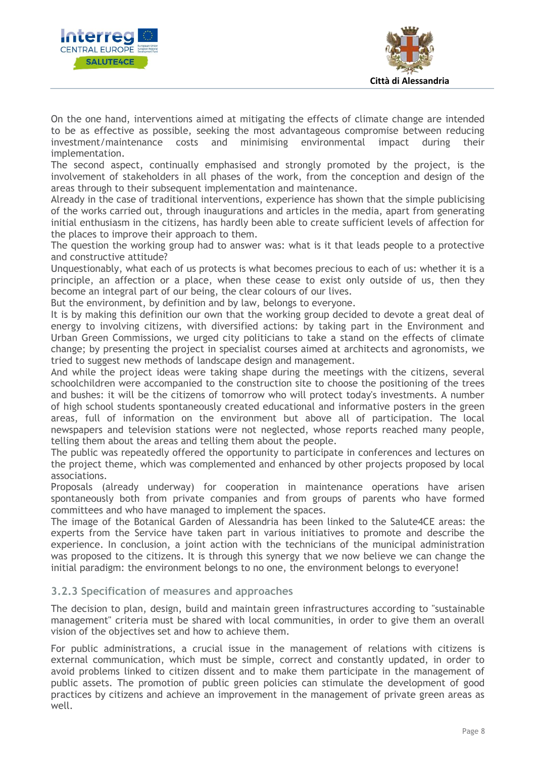



On the one hand, interventions aimed at mitigating the effects of climate change are intended to be as effective as possible, seeking the most advantageous compromise between reducing investment/maintenance costs and minimising environmental impact during their implementation.

The second aspect, continually emphasised and strongly promoted by the project, is the involvement of stakeholders in all phases of the work, from the conception and design of the areas through to their subsequent implementation and maintenance.

Already in the case of traditional interventions, experience has shown that the simple publicising of the works carried out, through inaugurations and articles in the media, apart from generating initial enthusiasm in the citizens, has hardly been able to create sufficient levels of affection for the places to improve their approach to them.

The question the working group had to answer was: what is it that leads people to a protective and constructive attitude?

Unquestionably, what each of us protects is what becomes precious to each of us: whether it is a principle, an affection or a place, when these cease to exist only outside of us, then they become an integral part of our being, the clear colours of our lives.

But the environment, by definition and by law, belongs to everyone.

It is by making this definition our own that the working group decided to devote a great deal of energy to involving citizens, with diversified actions: by taking part in the Environment and Urban Green Commissions, we urged city politicians to take a stand on the effects of climate change; by presenting the project in specialist courses aimed at architects and agronomists, we tried to suggest new methods of landscape design and management.

And while the project ideas were taking shape during the meetings with the citizens, several schoolchildren were accompanied to the construction site to choose the positioning of the trees and bushes: it will be the citizens of tomorrow who will protect today's investments. A number of high school students spontaneously created educational and informative posters in the green areas, full of information on the environment but above all of participation. The local newspapers and television stations were not neglected, whose reports reached many people, telling them about the areas and telling them about the people.

The public was repeatedly offered the opportunity to participate in conferences and lectures on the project theme, which was complemented and enhanced by other projects proposed by local associations.

Proposals (already underway) for cooperation in maintenance operations have arisen spontaneously both from private companies and from groups of parents who have formed committees and who have managed to implement the spaces.

The image of the Botanical Garden of Alessandria has been linked to the Salute4CE areas: the experts from the Service have taken part in various initiatives to promote and describe the experience. In conclusion, a joint action with the technicians of the municipal administration was proposed to the citizens. It is through this synergy that we now believe we can change the initial paradigm: the environment belongs to no one, the environment belongs to everyone!

## <span id="page-8-0"></span>**3.2.3 Specification of measures and approaches**

The decision to plan, design, build and maintain green infrastructures according to "sustainable management" criteria must be shared with local communities, in order to give them an overall vision of the objectives set and how to achieve them.

For public administrations, a crucial issue in the management of relations with citizens is external communication, which must be simple, correct and constantly updated, in order to avoid problems linked to citizen dissent and to make them participate in the management of public assets. The promotion of public green policies can stimulate the development of good practices by citizens and achieve an improvement in the management of private green areas as well.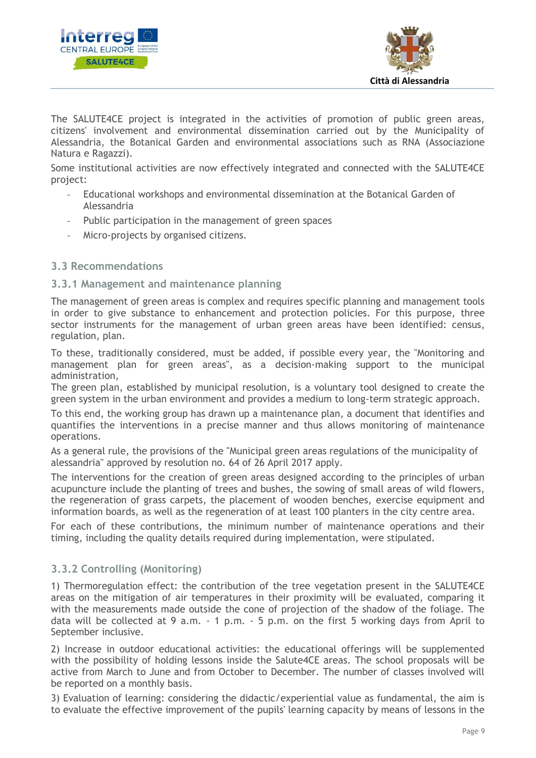



The SALUTE4CE project is integrated in the activities of promotion of public green areas, citizens' involvement and environmental dissemination carried out by the Municipality of Alessandria, the Botanical Garden and environmental associations such as RNA (Associazione Natura e Ragazzi).

Some institutional activities are now effectively integrated and connected with the SALUTE4CE project:

- Educational workshops and environmental dissemination at the Botanical Garden of Alessandria
- Public participation in the management of green spaces
- Micro-projects by organised citizens.

#### <span id="page-9-0"></span>**3.3 Recommendations**

#### <span id="page-9-1"></span>**3.3.1 Management and maintenance planning**

The management of green areas is complex and requires specific planning and management tools in order to give substance to enhancement and protection policies. For this purpose, three sector instruments for the management of urban green areas have been identified: census, regulation, plan.

To these, traditionally considered, must be added, if possible every year, the "Monitoring and management plan for green areas", as a decision-making support to the municipal administration,

The green plan, established by municipal resolution, is a voluntary tool designed to create the green system in the urban environment and provides a medium to long-term strategic approach.

To this end, the working group has drawn up a maintenance plan, a document that identifies and quantifies the interventions in a precise manner and thus allows monitoring of maintenance operations.

As a general rule, the provisions of the "Municipal green areas regulations of the municipality of alessandria" approved by resolution no. 64 of 26 April 2017 apply.

The interventions for the creation of green areas designed according to the principles of urban acupuncture include the planting of trees and bushes, the sowing of small areas of wild flowers, the regeneration of grass carpets, the placement of wooden benches, exercise equipment and information boards, as well as the regeneration of at least 100 planters in the city centre area.

For each of these contributions, the minimum number of maintenance operations and their timing, including the quality details required during implementation, were stipulated.

## <span id="page-9-2"></span>**3.3.2 Controlling (Monitoring)**

1) Thermoregulation effect: the contribution of the tree vegetation present in the SALUTE4CE areas on the mitigation of air temperatures in their proximity will be evaluated, comparing it with the measurements made outside the cone of projection of the shadow of the foliage. The data will be collected at 9 a.m. - 1 p.m. - 5 p.m. on the first 5 working days from April to September inclusive.

2) Increase in outdoor educational activities: the educational offerings will be supplemented with the possibility of holding lessons inside the Salute4CE areas. The school proposals will be active from March to June and from October to December. The number of classes involved will be reported on a monthly basis.

3) Evaluation of learning: considering the didactic/experiential value as fundamental, the aim is to evaluate the effective improvement of the pupils' learning capacity by means of lessons in the